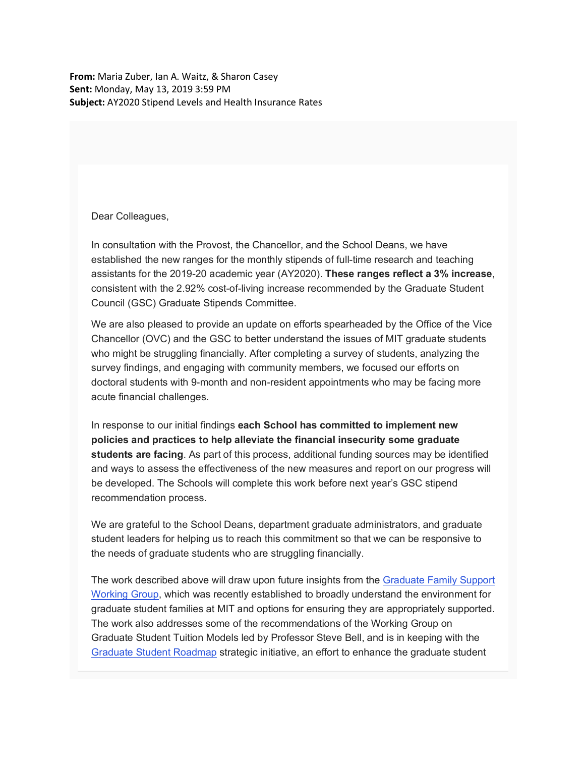**From:** Maria Zuber, Ian A. Waitz, & Sharon Casey **Sent:** Monday, May 13, 2019 3:59 PM **Subject:** AY2020 Stipend Levels and Health Insurance Rates

Dear Colleagues,

In consultation with the Provost, the Chancellor, and the School Deans, we have established the new ranges for the monthly stipends of full-time research and teaching assistants for the 2019-20 academic year (AY2020). **These ranges reflect a 3% increase**, consistent with the 2.92% cost-of-living increase recommended by the Graduate Student Council (GSC) Graduate Stipends Committee.

We are also pleased to provide an update on efforts spearheaded by the Office of the Vice Chancellor (OVC) and the GSC to better understand the issues of MIT graduate students who might be struggling financially. After completing a survey of students, analyzing the survey findings, and engaging with community members, we focused our efforts on doctoral students with 9-month and non-resident appointments who may be facing more acute financial challenges.

In response to our initial findings **each School has committed to implement new policies and practices to help alleviate the financial insecurity some graduate students are facing**. As part of this process, additional funding sources may be identified and ways to assess the effectiveness of the new measures and report on our progress will be developed. The Schools will complete this work before next year's GSC stipend recommendation process.

We are grateful to the School Deans, department graduate administrators, and graduate student leaders for helping us to reach this commitment so that we can be responsive to the needs of graduate students who are struggling financially.

The work described above will draw upon future insights from the Graduate Family Support Working Group, which was recently established to broadly understand the environment for graduate student families at MIT and options for ensuring they are appropriately supported. The work also addresses some of the recommendations of the Working Group on Graduate Student Tuition Models led by Professor Steve Bell, and is in keeping with the Graduate Student Roadmap strategic initiative, an effort to enhance the graduate student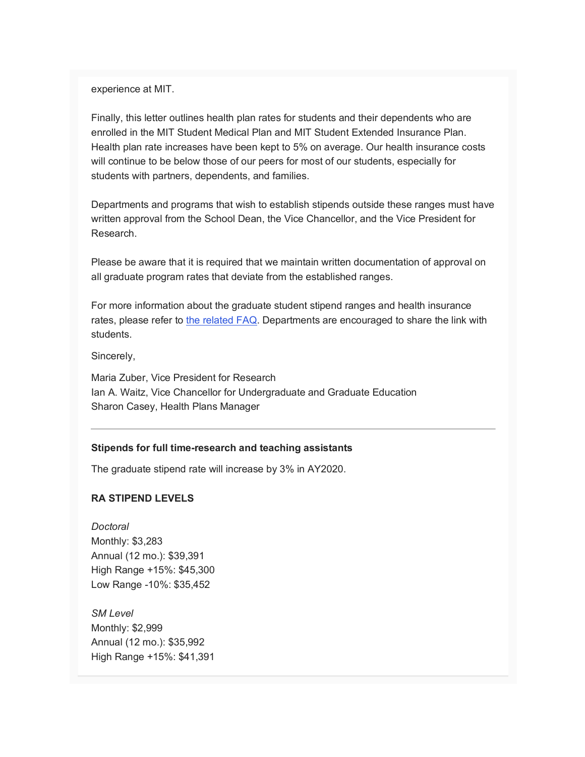experience at MIT.

Finally, this letter outlines health plan rates for students and their dependents who are enrolled in the MIT Student Medical Plan and MIT Student Extended Insurance Plan. Health plan rate increases have been kept to 5% on average. Our health insurance costs will continue to be below those of our peers for most of our students, especially for students with partners, dependents, and families.

Departments and programs that wish to establish stipends outside these ranges must have written approval from the School Dean, the Vice Chancellor, and the Vice President for Research.

Please be aware that it is required that we maintain written documentation of approval on all graduate program rates that deviate from the established ranges.

For more information about the graduate student stipend ranges and health insurance rates, please refer to the related FAQ. Departments are encouraged to share the link with students.

Sincerely,

Maria Zuber, Vice President for Research Ian A. Waitz, Vice Chancellor for Undergraduate and Graduate Education Sharon Casey, Health Plans Manager

## **Stipends for full time-research and teaching assistants**

The graduate stipend rate will increase by 3% in AY2020.

## **RA STIPEND LEVELS**

*Doctoral* Monthly: \$3,283 Annual (12 mo.): \$39,391 High Range +15%: \$45,300 Low Range -10%: \$35,452

*SM Level* Monthly: \$2,999 Annual (12 mo.): \$35,992 High Range +15%: \$41,391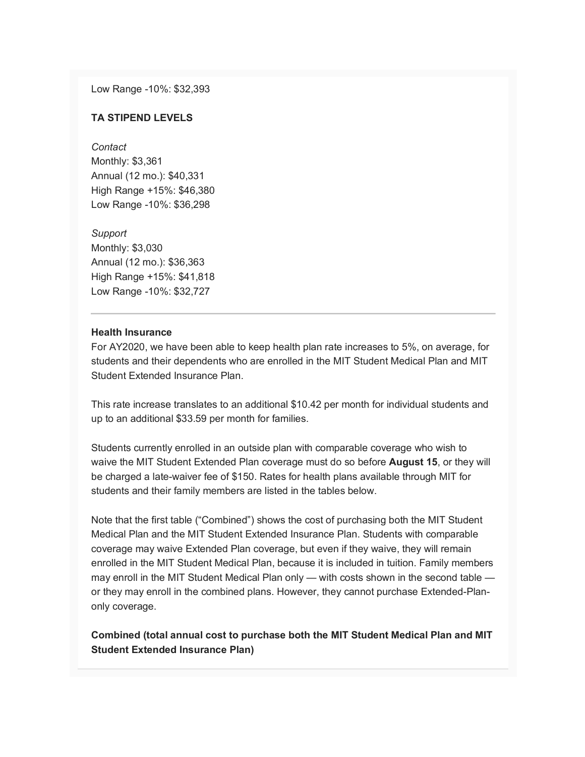Low Range -10%: \$32,393

#### **TA STIPEND LEVELS**

*Contact* Monthly: \$3,361 Annual (12 mo.): \$40,331 High Range +15%: \$46,380 Low Range -10%: \$36,298

*Support* Monthly: \$3,030 Annual (12 mo.): \$36,363 High Range +15%: \$41,818 Low Range -10%: \$32,727

# **Health Insurance**

For AY2020, we have been able to keep health plan rate increases to 5%, on average, for students and their dependents who are enrolled in the MIT Student Medical Plan and MIT Student Extended Insurance Plan.

This rate increase translates to an additional \$10.42 per month for individual students and up to an additional \$33.59 per month for families.

Students currently enrolled in an outside plan with comparable coverage who wish to waive the MIT Student Extended Plan coverage must do so before **August 15**, or they will be charged a late-waiver fee of \$150. Rates for health plans available through MIT for students and their family members are listed in the tables below.

Note that the first table ("Combined") shows the cost of purchasing both the MIT Student Medical Plan and the MIT Student Extended Insurance Plan. Students with comparable coverage may waive Extended Plan coverage, but even if they waive, they will remain enrolled in the MIT Student Medical Plan, because it is included in tuition. Family members may enroll in the MIT Student Medical Plan only — with costs shown in the second table or they may enroll in the combined plans. However, they cannot purchase Extended-Planonly coverage.

# **Combined (total annual cost to purchase both the MIT Student Medical Plan and MIT Student Extended Insurance Plan)**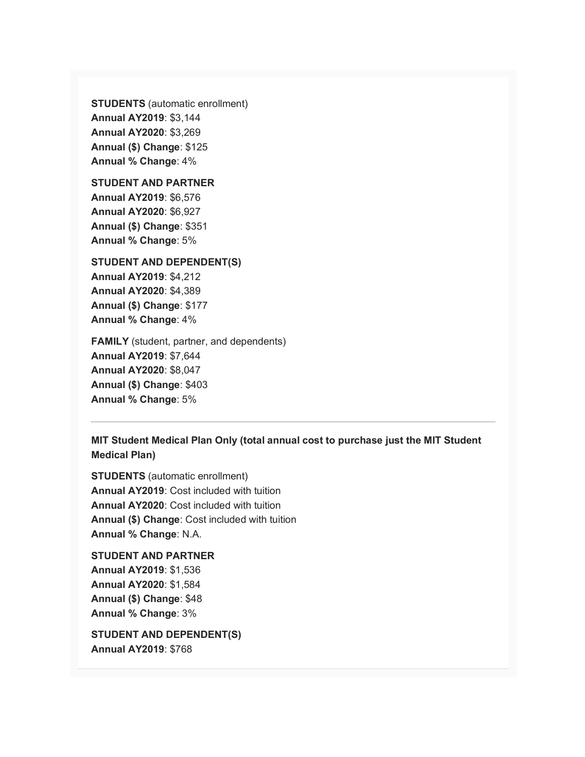**STUDENTS** (automatic enrollment) **Annual AY2019**: \$3,144 **Annual AY2020**: \$3,269 **Annual (\$) Change**: \$125 **Annual % Change**: 4%

**STUDENT AND PARTNER Annual AY2019**: \$6,576 **Annual AY2020**: \$6,927

**Annual (\$) Change**: \$351 **Annual % Change**: 5%

**STUDENT AND DEPENDENT(S) Annual AY2019**: \$4,212 **Annual AY2020**: \$4,389 **Annual (\$) Change**: \$177 **Annual % Change**: 4%

**FAMILY** (student, partner, and dependents) **Annual AY2019**: \$7,644 **Annual AY2020**: \$8,047 **Annual (\$) Change**: \$403 **Annual % Change**: 5%

**MIT Student Medical Plan Only (total annual cost to purchase just the MIT Student Medical Plan)**

**STUDENTS** (automatic enrollment) **Annual AY2019**: Cost included with tuition **Annual AY2020**: Cost included with tuition **Annual (\$) Change**: Cost included with tuition **Annual % Change**: N.A.

**STUDENT AND PARTNER Annual AY2019**: \$1,536 **Annual AY2020**: \$1,584 **Annual (\$) Change**: \$48 **Annual % Change**: 3%

**STUDENT AND DEPENDENT(S) Annual AY2019**: \$768